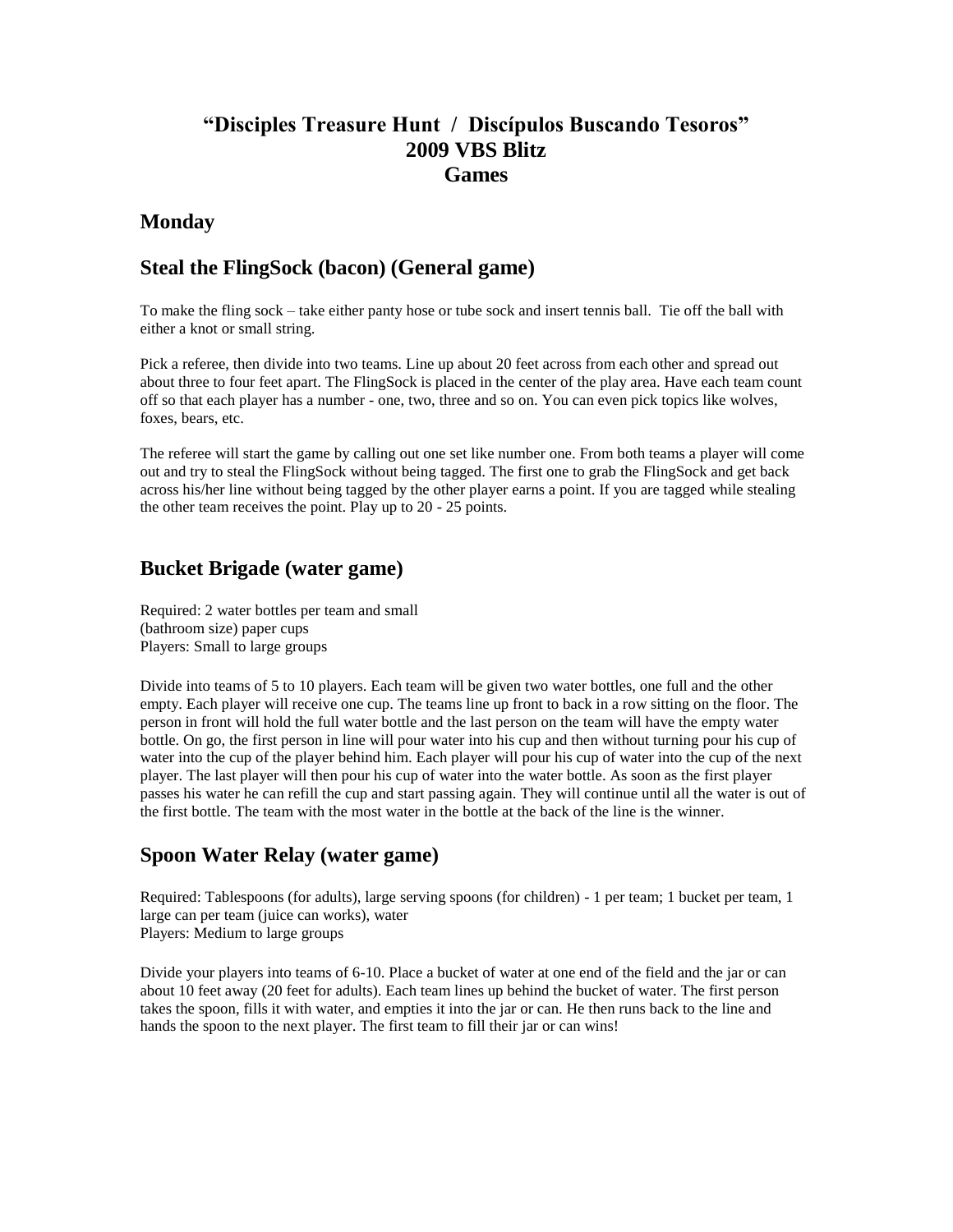# **"Disciples Treasure Hunt / Discípulos Buscando Tesoros" 2009 VBS Blitz Games**

#### **Monday**

## **Steal the FlingSock (bacon) (General game)**

To make the fling sock – take either panty hose or tube sock and insert tennis ball. Tie off the ball with either a knot or small string.

Pick a referee, then divide into two teams. Line up about 20 feet across from each other and spread out about three to four feet apart. The FlingSock is placed in the center of the play area. Have each team count off so that each player has a number - one, two, three and so on. You can even pick topics like wolves, foxes, bears, etc.

The referee will start the game by calling out one set like number one. From both teams a player will come out and try to steal the FlingSock without being tagged. The first one to grab the FlingSock and get back across his/her line without being tagged by the other player earns a point. If you are tagged while stealing the other team receives the point. Play up to 20 - 25 points.

## **Bucket Brigade (water game)**

Required: 2 water bottles per team and small (bathroom size) paper cups Players: Small to large groups

Divide into teams of 5 to 10 players. Each team will be given two water bottles, one full and the other empty. Each player will receive one cup. The teams line up front to back in a row sitting on the floor. The person in front will hold the full water bottle and the last person on the team will have the empty water bottle. On go, the first person in line will pour water into his cup and then without turning pour his cup of water into the cup of the player behind him. Each player will pour his cup of water into the cup of the next player. The last player will then pour his cup of water into the water bottle. As soon as the first player passes his water he can refill the cup and start passing again. They will continue until all the water is out of the first bottle. The team with the most water in the bottle at the back of the line is the winner.

### **Spoon Water Relay (water game)**

Required: Tablespoons (for adults), large serving spoons (for children) - 1 per team; 1 bucket per team, 1 large can per team (juice can works), water Players: Medium to large groups

Divide your players into teams of 6-10. Place a bucket of water at one end of the field and the jar or can about 10 feet away (20 feet for adults). Each team lines up behind the bucket of water. The first person takes the spoon, fills it with water, and empties it into the jar or can. He then runs back to the line and hands the spoon to the next player. The first team to fill their jar or can wins!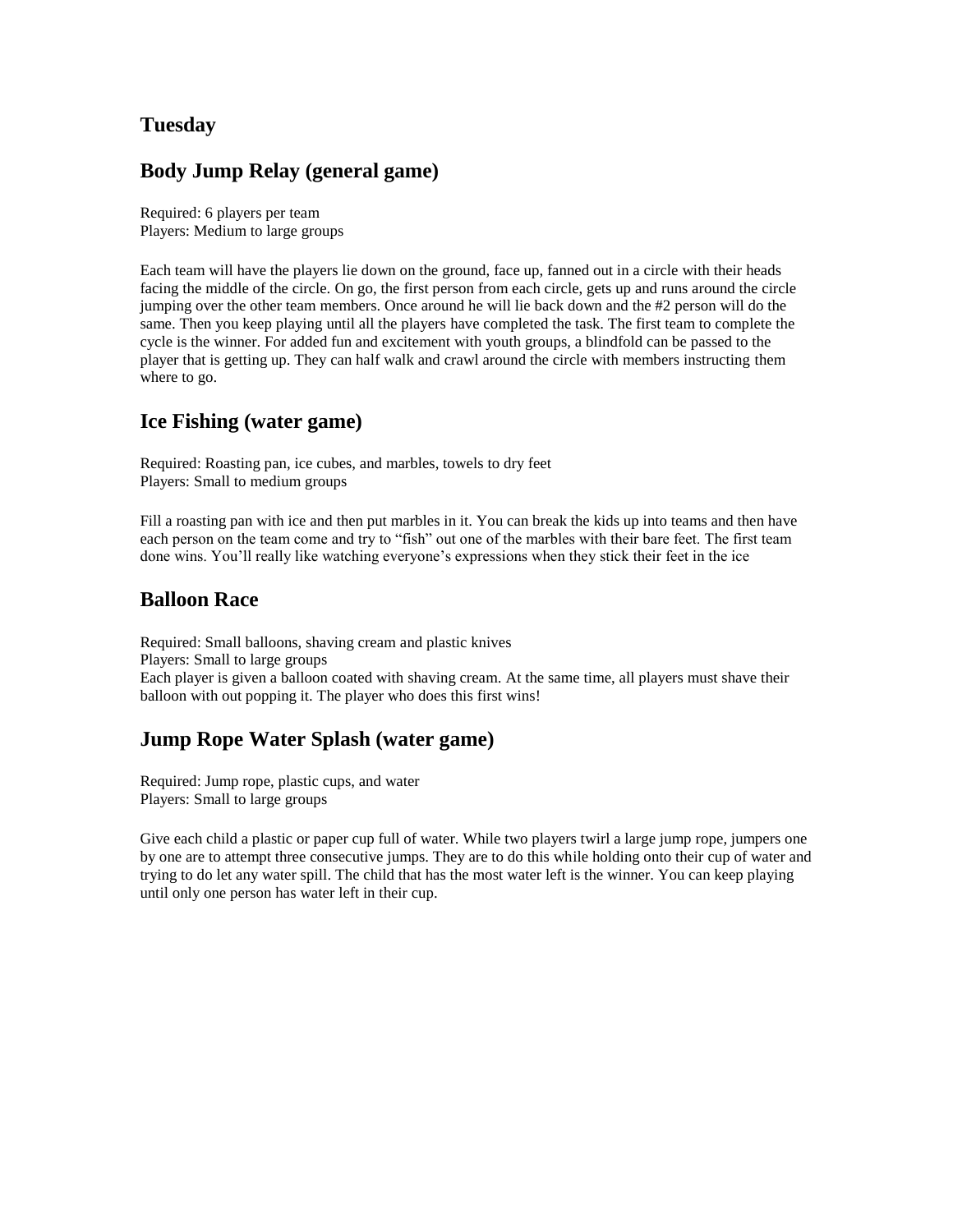# **Tuesday**

### **Body Jump Relay (general game)**

Required: 6 players per team Players: Medium to large groups

Each team will have the players lie down on the ground, face up, fanned out in a circle with their heads facing the middle of the circle. On go, the first person from each circle, gets up and runs around the circle jumping over the other team members. Once around he will lie back down and the #2 person will do the same. Then you keep playing until all the players have completed the task. The first team to complete the cycle is the winner. For added fun and excitement with youth groups, a blindfold can be passed to the player that is getting up. They can half walk and crawl around the circle with members instructing them where to go.

## **Ice Fishing (water game)**

Required: Roasting pan, ice cubes, and marbles, towels to dry feet Players: Small to medium groups

Fill a roasting pan with ice and then put marbles in it. You can break the kids up into teams and then have each person on the team come and try to "fish" out one of the marbles with their bare feet. The first team done wins. You'll really like watching everyone's expressions when they stick their feet in the ice

### **Balloon Race**

Required: Small balloons, shaving cream and plastic knives Players: Small to large groups Each player is given a balloon coated with shaving cream. At the same time, all players must shave their balloon with out popping it. The player who does this first wins!

# **Jump Rope Water Splash (water game)**

Required: Jump rope, plastic cups, and water Players: Small to large groups

Give each child a plastic or paper cup full of water. While two players twirl a large jump rope, jumpers one by one are to attempt three consecutive jumps. They are to do this while holding onto their cup of water and trying to do let any water spill. The child that has the most water left is the winner. You can keep playing until only one person has water left in their cup.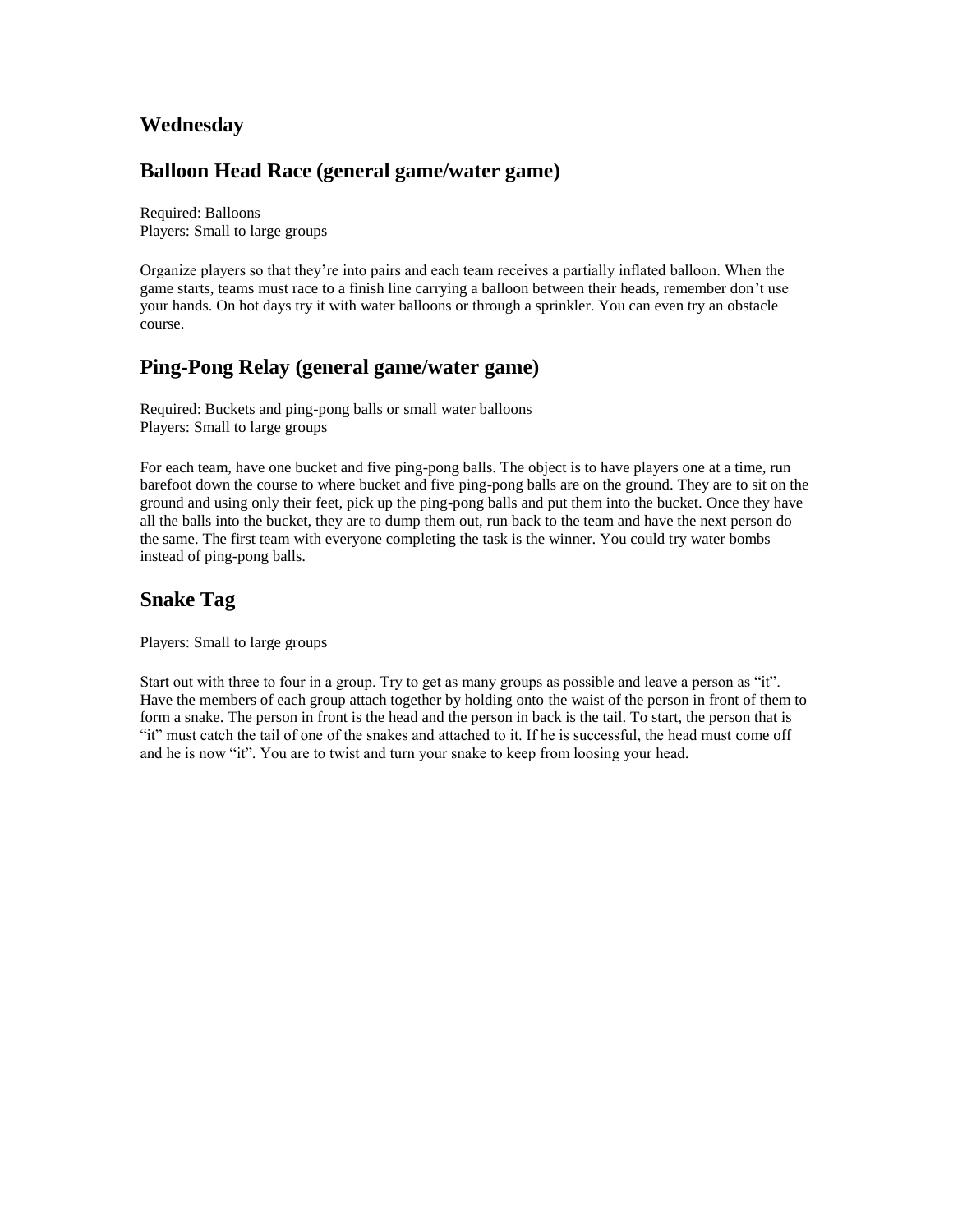## **Wednesday**

## **Balloon Head Race (general game/water game)**

Required: Balloons Players: Small to large groups

Organize players so that they're into pairs and each team receives a partially inflated balloon. When the game starts, teams must race to a finish line carrying a balloon between their heads, remember don't use your hands. On hot days try it with water balloons or through a sprinkler. You can even try an obstacle course.

## **Ping-Pong Relay (general game/water game)**

Required: Buckets and ping-pong balls or small water balloons Players: Small to large groups

For each team, have one bucket and five ping-pong balls. The object is to have players one at a time, run barefoot down the course to where bucket and five ping-pong balls are on the ground. They are to sit on the ground and using only their feet, pick up the ping-pong balls and put them into the bucket. Once they have all the balls into the bucket, they are to dump them out, run back to the team and have the next person do the same. The first team with everyone completing the task is the winner. You could try water bombs instead of ping-pong balls.

# **Snake Tag**

Players: Small to large groups

Start out with three to four in a group. Try to get as many groups as possible and leave a person as "it". Have the members of each group attach together by holding onto the waist of the person in front of them to form a snake. The person in front is the head and the person in back is the tail. To start, the person that is "it" must catch the tail of one of the snakes and attached to it. If he is successful, the head must come off and he is now "it". You are to twist and turn your snake to keep from loosing your head.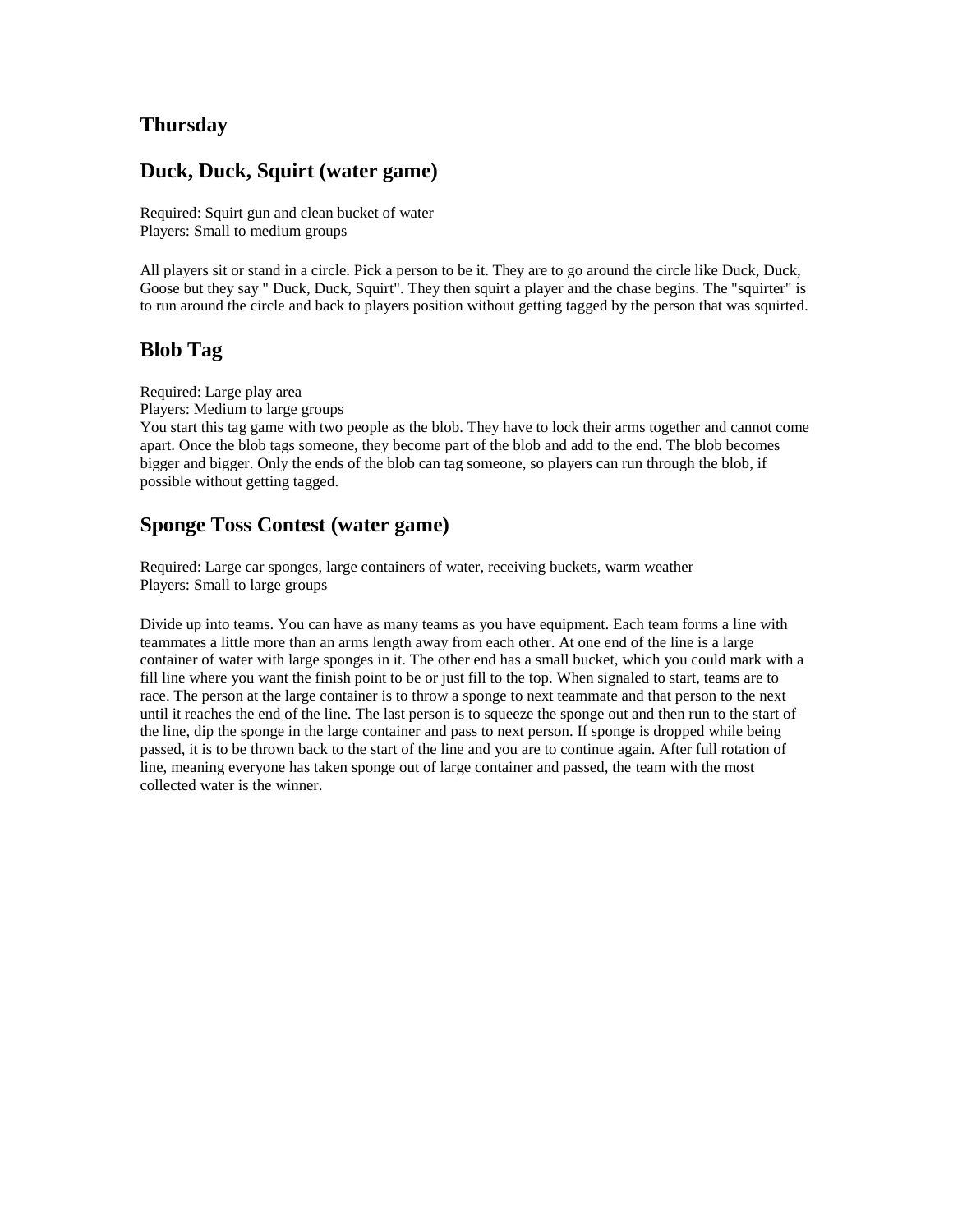# **Thursday**

#### **Duck, Duck, Squirt (water game)**

Required: Squirt gun and clean bucket of water Players: Small to medium groups

All players sit or stand in a circle. Pick a person to be it. They are to go around the circle like Duck, Duck, Goose but they say " Duck, Duck, Squirt". They then squirt a player and the chase begins. The "squirter" is to run around the circle and back to players position without getting tagged by the person that was squirted.

### **Blob Tag**

Required: Large play area

Players: Medium to large groups

You start this tag game with two people as the blob. They have to lock their arms together and cannot come apart. Once the blob tags someone, they become part of the blob and add to the end. The blob becomes bigger and bigger. Only the ends of the blob can tag someone, so players can run through the blob, if possible without getting tagged.

### **Sponge Toss Contest (water game)**

Required: Large car sponges, large containers of water, receiving buckets, warm weather Players: Small to large groups

Divide up into teams. You can have as many teams as you have equipment. Each team forms a line with teammates a little more than an arms length away from each other. At one end of the line is a large container of water with large sponges in it. The other end has a small bucket, which you could mark with a fill line where you want the finish point to be or just fill to the top. When signaled to start, teams are to race. The person at the large container is to throw a sponge to next teammate and that person to the next until it reaches the end of the line. The last person is to squeeze the sponge out and then run to the start of the line, dip the sponge in the large container and pass to next person. If sponge is dropped while being passed, it is to be thrown back to the start of the line and you are to continue again. After full rotation of line, meaning everyone has taken sponge out of large container and passed, the team with the most collected water is the winner.